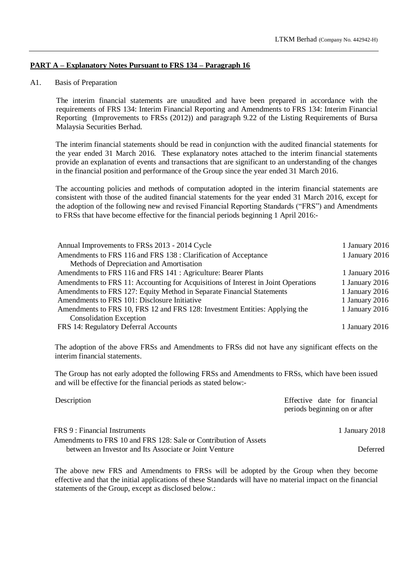# **PART A – Explanatory Notes Pursuant to FRS 134 – Paragraph 16**

## A1. Basis of Preparation

The interim financial statements are unaudited and have been prepared in accordance with the requirements of FRS 134: Interim Financial Reporting and Amendments to FRS 134: Interim Financial Reporting (Improvements to FRSs (2012)) and paragraph 9.22 of the Listing Requirements of Bursa Malaysia Securities Berhad.

The interim financial statements should be read in conjunction with the audited financial statements for the year ended 31 March 2016. These explanatory notes attached to the interim financial statements provide an explanation of events and transactions that are significant to an understanding of the changes in the financial position and performance of the Group since the year ended 31 March 2016.

The accounting policies and methods of computation adopted in the interim financial statements are consistent with those of the audited financial statements for the year ended 31 March 2016, except for the adoption of the following new and revised Financial Reporting Standards ("FRS") and Amendments to FRSs that have become effective for the financial periods beginning 1 April 2016:-

| Annual Improvements to FRSs 2013 - 2014 Cycle                                     | 1 January 2016 |
|-----------------------------------------------------------------------------------|----------------|
| Amendments to FRS 116 and FRS 138 : Clarification of Acceptance                   | 1 January 2016 |
| Methods of Depreciation and Amortisation                                          |                |
| Amendments to FRS 116 and FRS 141 : Agriculture: Bearer Plants                    | 1 January 2016 |
| Amendments to FRS 11: Accounting for Acquisitions of Interest in Joint Operations | 1 January 2016 |
| Amendments to FRS 127: Equity Method in Separate Financial Statements             | 1 January 2016 |
| Amendments to FRS 101: Disclosure Initiative                                      | 1 January 2016 |
| Amendments to FRS 10, FRS 12 and FRS 128: Investment Entities: Applying the       | 1 January 2016 |
| <b>Consolidation Exception</b>                                                    |                |
| FRS 14: Regulatory Deferral Accounts                                              | 1 January 2016 |

The adoption of the above FRSs and Amendments to FRSs did not have any significant effects on the interim financial statements.

The Group has not early adopted the following FRSs and Amendments to FRSs, which have been issued and will be effective for the financial periods as stated below:-

| Description                                                      | Effective date for financial  |
|------------------------------------------------------------------|-------------------------------|
|                                                                  | periods beginning on or after |
| FRS 9 : Financial Instruments                                    | 1 January 2018                |
| Amendments to FRS 10 and FRS 128: Sale or Contribution of Assets |                               |
| between an Investor and Its Associate or Joint Venture           | Deferred                      |

The above new FRS and Amendments to FRSs will be adopted by the Group when they become effective and that the initial applications of these Standards will have no material impact on the financial statements of the Group, except as disclosed below.: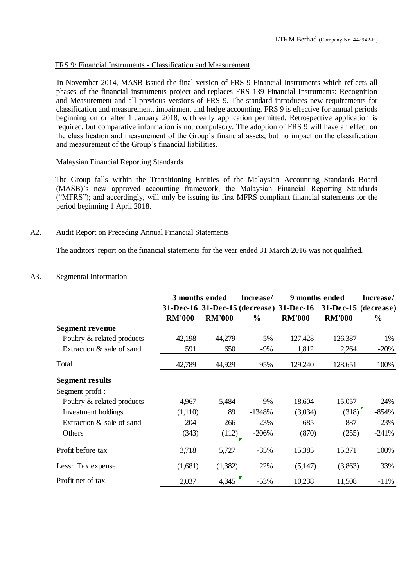### FRS 9: Financial Instruments - Classification and Measurement

In November 2014, MASB issued the final version of FRS 9 Financial Instruments which reflects all phases of the financial instruments project and replaces FRS 139 Financial Instruments: Recognition and Measurement and all previous versions of FRS 9. The standard introduces new requirements for classification and measurement, impairment and hedge accounting. FRS 9 is effective for annual periods beginning on or after 1 January 2018, with early application permitted. Retrospective application is required, but comparative information is not compulsory. The adoption of FRS 9 will have an effect on the classification and measurement of the Group's financial assets, but no impact on the classification and measurement of the Group's financial liabilities.

## Malaysian Financial Reporting Standards

The Group falls within the Transitioning Entities of the Malaysian Accounting Standards Board (MASB)'s new approved accounting framework, the Malaysian Financial Reporting Standards ("MFRS"); and accordingly, will only be issuing its first MFRS compliant financial statements for the period beginning 1 April 2018.

# A2. Audit Report on Preceding Annual Financial Statements

The auditors' report on the financial statements for the year ended 31 March 2016 was not qualified.

## A3. Segmental Information

|                            | 3 months ended |               | Increase/<br>9 months ended |                                          |                      | Increase/     |  |
|----------------------------|----------------|---------------|-----------------------------|------------------------------------------|----------------------|---------------|--|
|                            |                |               |                             | 31-Dec-16 31-Dec-15 (decrease) 31-Dec-16 | 31-Dec-15 (decrease) |               |  |
|                            | <b>RM'000</b>  | <b>RM'000</b> | $\frac{6}{9}$               | <b>RM'000</b>                            | <b>RM'000</b>        | $\frac{6}{9}$ |  |
| Segment revenue            |                |               |                             |                                          |                      |               |  |
| Poultry & related products | 42,198         | 44,279        | $-5%$                       | 127,428                                  | 126,387              | 1%            |  |
| Extraction & sale of sand  | 591            | 650           | $-9%$                       | 1,812                                    | 2,264                | $-20%$        |  |
| Total                      | 42,789         | 44,929        | 95%                         | 129,240                                  | 128,651              | 100%          |  |
| <b>Segment results</b>     |                |               |                             |                                          |                      |               |  |
| Segment profit :           |                |               |                             |                                          |                      |               |  |
| Poultry & related products | 4,967          | 5,484         | $-9\%$                      | 18,604                                   | 15,057               | 24%           |  |
| Investment holdings        | (1,110)        | 89            | $-1348%$                    | (3,034)                                  | (318)                | $-854%$       |  |
| Extraction & sale of sand  | 204            | 266           | $-23%$                      | 685                                      | 887                  | $-23%$        |  |
| Others                     | (343)          | (112)         | $-206%$                     | (870)                                    | (255)                | $-241%$       |  |
| Profit before tax          | 3,718          | 5,727         | $-35%$                      | 15,385                                   | 15,371               | 100%          |  |
| Less: Tax expense          | (1,681)        | (1,382)       | 22%                         | (5,147)                                  | (3,863)              | 33%           |  |
| Profit net of tax          | 2,037          | 4,345         | $-53%$                      | 10,238                                   | 11,508               | $-11%$        |  |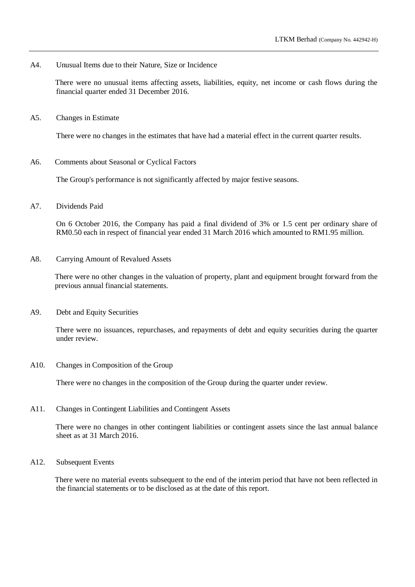A4. Unusual Items due to their Nature, Size or Incidence

There were no unusual items affecting assets, liabilities, equity, net income or cash flows during the financial quarter ended 31 December 2016.

A5. Changes in Estimate

There were no changes in the estimates that have had a material effect in the current quarter results.

A6. Comments about Seasonal or Cyclical Factors

The Group's performance is not significantly affected by major festive seasons.

A7. Dividends Paid

On 6 October 2016, the Company has paid a final dividend of 3% or 1.5 cent per ordinary share of RM0.50 each in respect of financial year ended 31 March 2016 which amounted to RM1.95 million.

A8. Carrying Amount of Revalued Assets

There were no other changes in the valuation of property, plant and equipment brought forward from the previous annual financial statements.

A9. Debt and Equity Securities

There were no issuances, repurchases, and repayments of debt and equity securities during the quarter under review.

A10. Changes in Composition of the Group

There were no changes in the composition of the Group during the quarter under review.

A11. Changes in Contingent Liabilities and Contingent Assets

There were no changes in other contingent liabilities or contingent assets since the last annual balance sheet as at 31 March 2016.

A12. Subsequent Events

There were no material events subsequent to the end of the interim period that have not been reflected in the financial statements or to be disclosed as at the date of this report.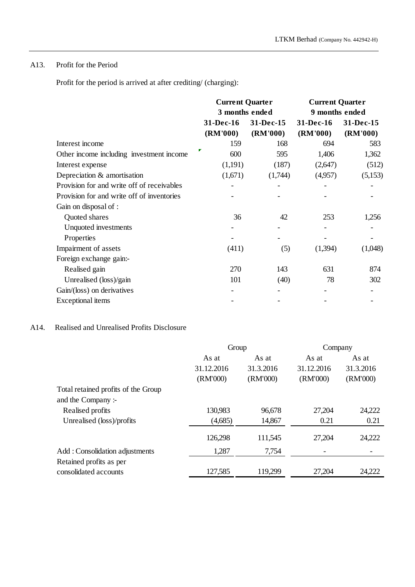# A13. Profit for the Period

Profit for the period is arrived at after crediting/ (charging):

|                                            | <b>Current Quarter</b><br>3 months ended |                       | <b>Current Quarter</b> |                       |  |
|--------------------------------------------|------------------------------------------|-----------------------|------------------------|-----------------------|--|
|                                            |                                          |                       | 9 months ended         |                       |  |
|                                            | 31-Dec-16<br>(RM'000)                    | 31-Dec-15<br>(RM'000) | 31-Dec-16<br>(RM'000)  | 31-Dec-15<br>(RM'000) |  |
| Interest income                            | 159                                      | 168                   | 694                    | 583                   |  |
| Other income including investment income   | 600                                      | 595                   | 1,406                  | 1,362                 |  |
| Interest expense                           | (1,191)                                  | (187)                 | (2,647)                | (512)                 |  |
| Depreciation & amortisation                | (1,671)                                  | (1,744)               | (4,957)                | (5,153)               |  |
| Provision for and write off of receivables |                                          |                       |                        |                       |  |
| Provision for and write off of inventories |                                          |                       |                        |                       |  |
| Gain on disposal of :                      |                                          |                       |                        |                       |  |
| Quoted shares                              | 36                                       | 42                    | 253                    | 1,256                 |  |
| Unquoted investments                       |                                          |                       |                        |                       |  |
| Properties                                 |                                          |                       |                        |                       |  |
| Impairment of assets                       | (411)                                    | (5)                   | (1,394)                | (1,048)               |  |
| Foreign exchange gain:-                    |                                          |                       |                        |                       |  |
| Realised gain                              | 270                                      | 143                   | 631                    | 874                   |  |
| Unrealised (loss)/gain                     | 101                                      | (40)                  | 78                     | 302                   |  |
| Gain/(loss) on derivatives                 |                                          |                       |                        |                       |  |
| Exceptional items                          |                                          |                       |                        |                       |  |

# A14. Realised and Unrealised Profits Disclosure

|                                     | Group      |           | Company    |           |
|-------------------------------------|------------|-----------|------------|-----------|
|                                     | As at      | As at     | As at      | As at     |
|                                     | 31.12.2016 | 31.3.2016 | 31.12.2016 | 31.3.2016 |
|                                     | (RM'000)   | (RM'000)  | (RM'000)   | (RM'000)  |
| Total retained profits of the Group |            |           |            |           |
| and the Company:-                   |            |           |            |           |
| Realised profits                    | 130,983    | 96,678    | 27,204     | 24,222    |
| Unrealised (loss)/profits           | (4,685)    | 14,867    | 0.21       | 0.21      |
|                                     | 126,298    | 111,545   | 27,204     | 24,222    |
| Add: Consolidation adjustments      | 1,287      | 7,754     |            |           |
| Retained profits as per             |            |           |            |           |
| consolidated accounts               | 127,585    | 119,299   | 27,204     | 24,222    |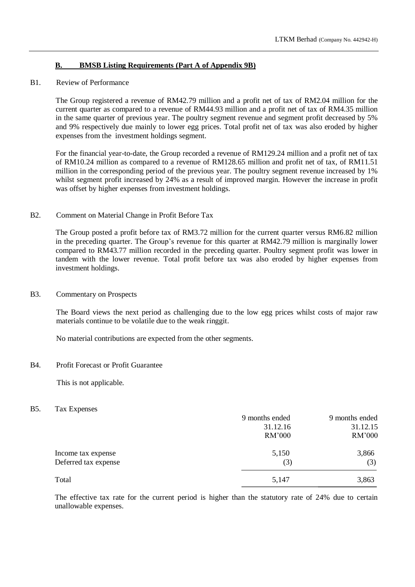# **B. BMSB Listing Requirements (Part A of Appendix 9B)**

### B1. Review of Performance

The Group registered a revenue of RM42.79 million and a profit net of tax of RM2.04 million for the current quarter as compared to a revenue of RM44.93 million and a profit net of tax of RM4.35 million in the same quarter of previous year. The poultry segment revenue and segment profit decreased by 5% and 9% respectively due mainly to lower egg prices. Total profit net of tax was also eroded by higher expenses from the investment holdings segment.

For the financial year-to-date, the Group recorded a revenue of RM129.24 million and a profit net of tax of RM10.24 million as compared to a revenue of RM128.65 million and profit net of tax, of RM11.51 million in the corresponding period of the previous year. The poultry segment revenue increased by 1% whilst segment profit increased by 24% as a result of improved margin. However the increase in profit was offset by higher expenses from investment holdings.

### B2. Comment on Material Change in Profit Before Tax

The Group posted a profit before tax of RM3.72 million for the current quarter versus RM6.82 million in the preceding quarter. The Group's revenue for this quarter at RM42.79 million is marginally lower compared to RM43.77 million recorded in the preceding quarter. Poultry segment profit was lower in tandem with the lower revenue. Total profit before tax was also eroded by higher expenses from investment holdings.

# B3. Commentary on Prospects

The Board views the next period as challenging due to the low egg prices whilst costs of major raw materials continue to be volatile due to the weak ringgit.

No material contributions are expected from the other segments.

# B4. Profit Forecast or Profit Guarantee

This is not applicable.

#### B5. Tax Expenses

|                      | 9 months ended | 9 months ended |
|----------------------|----------------|----------------|
|                      | 31.12.16       | 31.12.15       |
|                      | RM'000         | RM'000         |
| Income tax expense   | 5,150          | 3,866          |
| Deferred tax expense | (3)            | (3)            |
| Total                | 5,147          | 3,863          |

The effective tax rate for the current period is higher than the statutory rate of 24% due to certain unallowable expenses.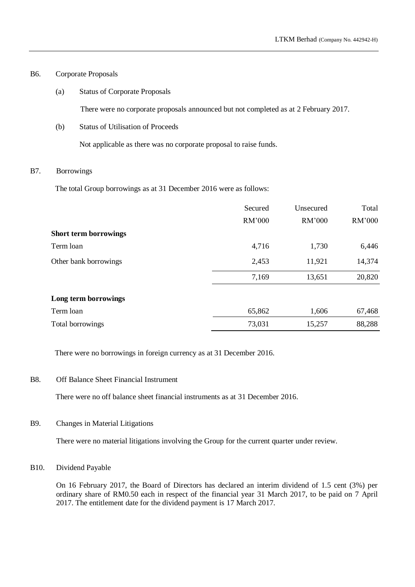## B6. Corporate Proposals

(a) Status of Corporate Proposals

There were no corporate proposals announced but not completed as at 2 February 2017.

(b) Status of Utilisation of Proceeds

Not applicable as there was no corporate proposal to raise funds.

## B7. Borrowings

The total Group borrowings as at 31 December 2016 were as follows:

|                              | Secured | Unsecured | Total  |
|------------------------------|---------|-----------|--------|
|                              | RM'000  | RM'000    | RM'000 |
| <b>Short term borrowings</b> |         |           |        |
| Term loan                    | 4,716   | 1,730     | 6,446  |
| Other bank borrowings        | 2,453   | 11,921    | 14,374 |
|                              | 7,169   | 13,651    | 20,820 |
| Long term borrowings         |         |           |        |
| Term loan                    | 65,862  | 1,606     | 67,468 |
| Total borrowings             | 73,031  | 15,257    | 88,288 |

There were no borrowings in foreign currency as at 31 December 2016.

# B8. Off Balance Sheet Financial Instrument

There were no off balance sheet financial instruments as at 31 December 2016.

B9. Changes in Material Litigations

There were no material litigations involving the Group for the current quarter under review.

B10. Dividend Payable

On 16 February 2017, the Board of Directors has declared an interim dividend of 1.5 cent (3%) per ordinary share of RM0.50 each in respect of the financial year 31 March 2017, to be paid on 7 April 2017. The entitlement date for the dividend payment is 17 March 2017.